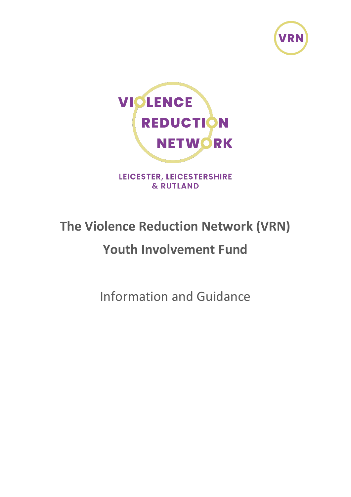



LEICESTER, LEICESTERSHIRE & RUTLAND

# **The Violence Reduction Network (VRN)**

# **Youth Involvement Fund**

Information and Guidance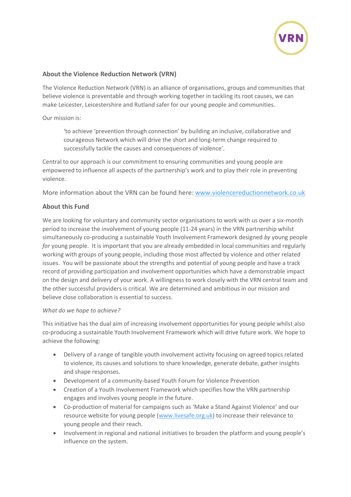

## **About the Violence Reduction Network (VRN)**

The Violence Reduction Network (VRN) is an alliance of organisations, groups and communities that believe violence is preventable and through working together in tackling its root causes, we can make Leicester, Leicestershire and Rutland safer for our young people and communities.

#### Our mission is:

'to achieve 'prevention through connection' by building an inclusive, collaborative and courageous Network which will drive the short and long-term change required to successfully tackle the causes and consequences of violence'.

Central to our approach is our commitment to ensuring communities and young people are empowered to influence all aspects of the partnership's work and to play their role in preventing violence.

More information about the VRN can be found here: [www.violencereductionnetwork.co.uk](http://www.violencereductionnetwork.co.uk/)

### **About this Fund**

We are looking for voluntary and community sector organisations to work with us over a six-month period to increase the involvement of young people (11-24 years) in the VRN partnership whilst simultaneously co-producing a sustainable Youth Involvement Framework designed *by* young people *for* young people. It is important that you are already embedded in local communities and regularly working with groups of young people, including those most affected by violence and other related issues. You will be passionate about the strengths and potential of young people and have a track record of providing participation and involvement opportunities which have a demonstrable impact on the design and delivery of your work. A willingness to work closely with the VRN central team and the other successful providers is critical. We are determined and ambitious in our mission and believe close collaboration is essential to success.

#### *What do we hope to achieve?*

This initiative has the dual aim of increasing involvement opportunities for young people whilst also co-producing a sustainable Youth Involvement Framework which will drive future work. We hope to achieve the following:

- Delivery of a range of tangible youth involvement activity focusing on agreed topics related to violence, its causes and solutions to share knowledge, generate debate, gather insights and shape responses.
- Development of a community-based Youth Forum for Violence Prevention
- Creation of a Youth Involvement Framework which specifies how the VRN partnership engages and involves young people in the future.
- Co-production of material for campaigns such as 'Make a Stand Against Violence' and our resource website for young people [\(www.livesafe.org.uk\)](http://www.livesafe.org.uk/) to increase their relevance to young people and their reach.
- Involvement in regional and national initiatives to broaden the platform and young people's influence on the system.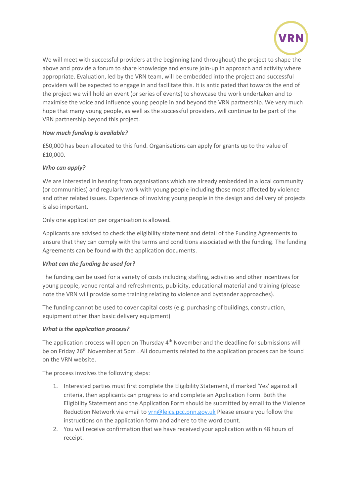

We will meet with successful providers at the beginning (and throughout) the project to shape the above and provide a forum to share knowledge and ensure join-up in approach and activity where appropriate. Evaluation, led by the VRN team, will be embedded into the project and successful providers will be expected to engage in and facilitate this. It is anticipated that towards the end of the project we will hold an event (or series of events) to showcase the work undertaken and to maximise the voice and influence young people in and beyond the VRN partnership. We very much hope that many young people, as well as the successful providers, will continue to be part of the VRN partnership beyond this project.

### *How much funding is available?*

£50,000 has been allocated to this fund. Organisations can apply for grants up to the value of £10,000.

#### *Who can apply?*

We are interested in hearing from organisations which are already embedded in a local community (or communities) and regularly work with young people including those most affected by violence and other related issues. Experience of involving young people in the design and delivery of projects is also important.

Only one application per organisation is allowed.

Applicants are advised to check the eligibility statement and detail of the Funding Agreements to ensure that they can comply with the terms and conditions associated with the funding. The funding Agreements can be found with the application documents.

### *What can the funding be used for?*

The funding can be used for a variety of costs including staffing, activities and other incentives for young people, venue rental and refreshments, publicity, educational material and training (please note the VRN will provide some training relating to violence and bystander approaches).

The funding cannot be used to cover capital costs (e.g. purchasing of buildings, construction, equipment other than basic delivery equipment)

#### *What is the application process?*

The application process will open on Thursday 4<sup>th</sup> November and the deadline for submissions will be on Friday 26<sup>th</sup> November at 5pm. All documents related to the application process can be found on the VRN website.

The process involves the following steps:

- 1. Interested parties must first complete the Eligibility Statement, if marked 'Yes' against all criteria, then applicants can progress to and complete an Application Form. Both the Eligibility Statement and the Application Form should be submitted by email to the Violence Reduction Network via email to [vrn@leics.pcc.pnn.gov.uk](mailto:vrn@leics.pcc.pnn.gov.uk) Please ensure you follow the instructions on the application form and adhere to the word count.
- 2. You will receive confirmation that we have received your application within 48 hours of receipt.